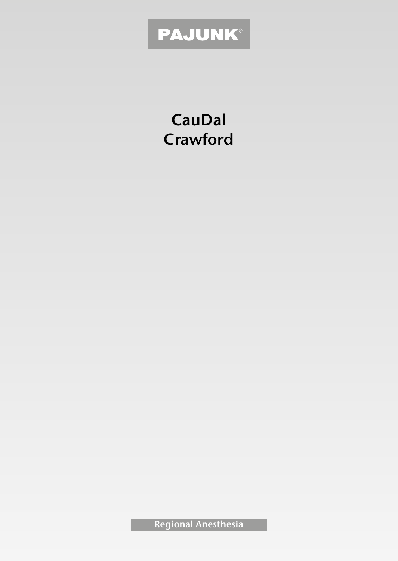# PAJUNK®

**CauDal Crawford**

**Regional Anesthesia**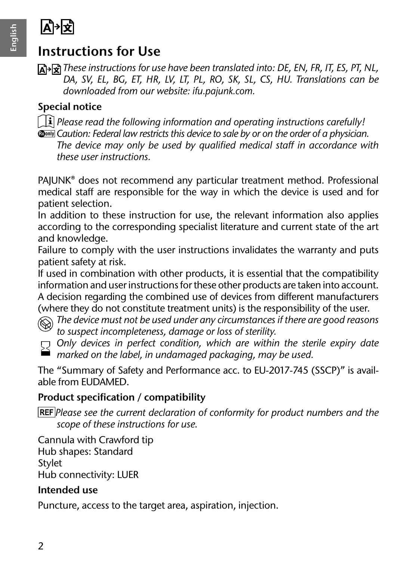

# **A**

# **Instructions for Use**

*These instructions for use have been translated into: DE, EN, FR, IT, ES, PT, NL, DA, SV, EL, BG, ET, HR, LV, LT, PL, RO, SK, SL, CS, HU. Translations can be downloaded from our website: ifu.pajunk.com.*

#### **Special notice**

- *Please read the following information and operating instructions carefully!*
- **Ronly** Caution: Federal law restricts this device to sale by or on the order of a physician. *The device may only be used by qualified medical staff in accordance with these user instructions.*

PAJUNK® does not recommend any particular treatment method. Professional medical staff are responsible for the way in which the device is used and for patient selection.

In addition to these instruction for use, the relevant information also applies according to the corresponding specialist literature and current state of the art and knowledge.

Failure to comply with the user instructions invalidates the warranty and puts patient safety at risk.

If used in combination with other products, it is essential that the compatibility information and user instructions for these other products are taken into account. A decision regarding the combined use of devices from different manufacturers (where they do not constitute treatment units) is the responsibility of the user.

*The device must not be used under any circumstances if there are good reasons to suspect incompleteness, damage or loss of sterility.*

*Only devices in perfect condition, which are within the sterile expiry date marked on the label, in undamaged packaging, may be used.*

The "Summary of Safety and Performance acc. to EU-2017-745 (SSCP)" is available from EUDAMED.

#### **Product specification / compatibility**

*Please see the current declaration of conformity for product numbers and the scope of these instructions for use.*

Cannula with Crawford tip Hub shapes: Standard Stylet Hub connectivity: LUER

#### **Intended use**

Puncture, access to the target area, aspiration, injection.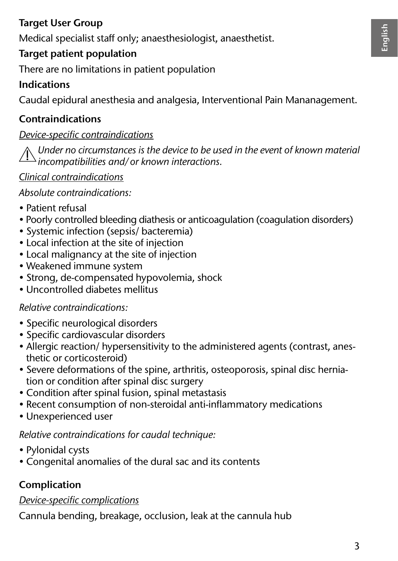#### **Target User Group**

Medical specialist staff only; anaesthesiologist, anaesthetist.

#### **Target patient population**

There are no limitations in patient population

#### **Indications**

Caudal epidural anesthesia and analgesia, Interventional Pain Mananagement.

#### **Contraindications**

#### *Device-specific contraindications*

*Under no circumstances is the device to be used in the event of known material incompatibilities and/or known interactions.*

#### *Clinical contraindications*

*Absolute contraindications:*

- Patient refusal
- Poorly controlled bleeding diathesis or anticoagulation (coagulation disorders)
- Systemic infection (sepsis/ bacteremia)
- Local infection at the site of injection
- Local malignancy at the site of injection
- Weakened immune system
- Strong, de-compensated hypovolemia, shock
- Uncontrolled diabetes mellitus

#### *Relative contraindications:*

- Specific neurological disorders
- Specific cardiovascular disorders
- Allergic reaction/ hypersensitivity to the administered agents (contrast, anesthetic or corticosteroid)
- Severe deformations of the spine, arthritis, osteoporosis, spinal disc herniation or condition after spinal disc surgery
- Condition after spinal fusion, spinal metastasis
- Recent consumption of non-steroidal anti-inflammatory medications
- Unexperienced user

#### *Relative contraindications for caudal technique:*

- Pylonidal cysts
- Congenital anomalies of the dural sac and its contents

## **Complication**

#### *Device-specific complications*

Cannula bending, breakage, occlusion, leak at the cannula hub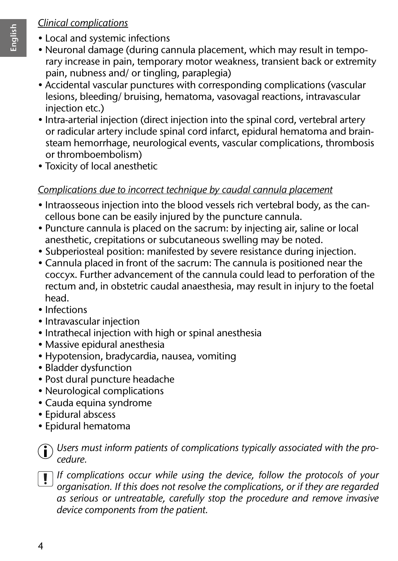#### *Clinical complications*

- Local and systemic infections
- Neuronal damage (during cannula placement, which may result in temporary increase in pain, temporary motor weakness, transient back or extremity pain, nubness and/ or tingling, paraplegia)
- Accidental vascular punctures with corresponding complications (vascular lesions, bleeding/ bruising, hematoma, vasovagal reactions, intravascular injection etc.)
- Intra-arterial injection (direct injection into the spinal cord, vertebral artery or radicular artery include spinal cord infarct, epidural hematoma and brainsteam hemorrhage, neurological events, vascular complications, thrombosis or thromboembolism)
- Toxicity of local anesthetic

#### *Complications due to incorrect technique by caudal cannula placement*

- Intraosseous injection into the blood vessels rich vertebral body, as the cancellous bone can be easily injured by the puncture cannula.
- Puncture cannula is placed on the sacrum: by injecting air, saline or local anesthetic, crepitations or subcutaneous swelling may be noted.
- Subperiosteal position: manifested by severe resistance during injection.
- Cannula placed in front of the sacrum: The cannula is positioned near the coccyx. Further advancement of the cannula could lead to perforation of the rectum and, in obstetric caudal anaesthesia, may result in injury to the foetal head.
- Infections
- Intravascular injection
- Intrathecal injection with high or spinal anesthesia
- Massive epidural anesthesia
- Hypotension, bradycardia, nausea, vomiting
- Bladder dysfunction
- Post dural puncture headache
- Neurological complications
- Cauda equina syndrome
- Epidural abscess
- Epidural hematoma



*Users must inform patients of complications typically associated with the procedure.*

*If complications occur while using the device, follow the protocols of your organisation. If this does not resolve the complications, or if they are regarded as serious or untreatable, carefully stop the procedure and remove invasive device components from the patient.*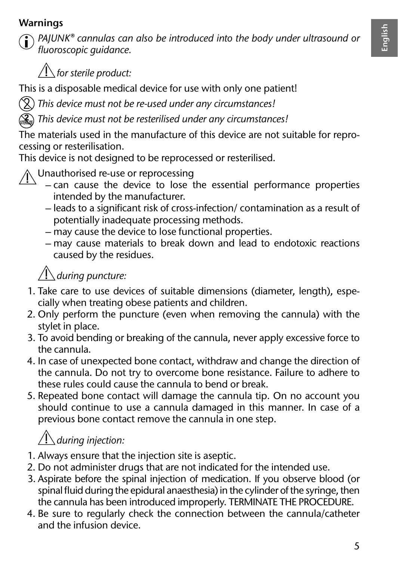# **English**

#### **Warnings**



*PAJUNK® cannulas can also be introduced into the body under ultrasound or fluoroscopic guidance.*



This is a disposable medical device for use with only one patient!

*This device must not be re-used under any circumstances!*

*This device must not be resterilised under any circumstances!*

The materials used in the manufacture of this device are not suitable for reprocessing or resterilisation.

This device is not designed to be reprocessed or resterilised.



- can cause the device to lose the essential performance properties intended by the manufacturer.
- leads to a significant risk of cross-infection/ contamination as a result of potentially inadequate processing methods.
- may cause the device to lose functional properties.
- may cause materials to break down and lead to endotoxic reactions caused by the residues.

## *during puncture:*

- 1. Take care to use devices of suitable dimensions (diameter, length), especially when treating obese patients and children.
- 2. Only perform the puncture (even when removing the cannula) with the stylet in place.
- 3. To avoid bending or breaking of the cannula, never apply excessive force to the cannula.
- 4. In case of unexpected bone contact, withdraw and change the direction of the cannula. Do not try to overcome bone resistance. Failure to adhere to these rules could cause the cannula to bend or break.
- 5. Repeated bone contact will damage the cannula tip. On no account you should continue to use a cannula damaged in this manner. In case of a previous bone contact remove the cannula in one step.

# *during injection:*

- 1. Always ensure that the injection site is aseptic.
- 2. Do not administer drugs that are not indicated for the intended use.
- 3. Aspirate before the spinal injection of medication. If you observe blood (or spinal fluid during the epidural anaesthesia) in the cylinder of the syringe, then the cannula has been introduced improperly. TERMINATE THE PROCEDURE.
- 4. Be sure to regularly check the connection between the cannula/catheter and the infusion device.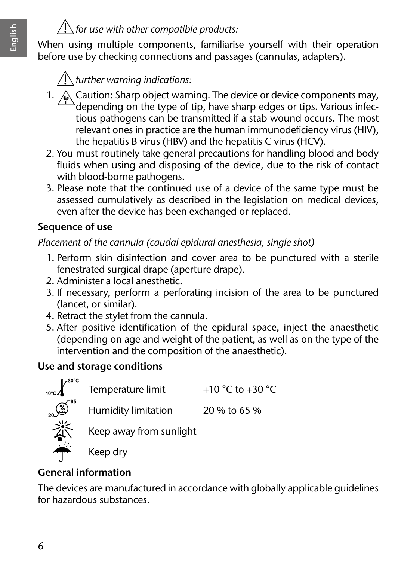# $\sqrt{ }$  for use with other compatible products:

When using multiple components, familiarise yourself with their operation before use by checking connections and passages (cannulas, adapters).

# *further warning indications:*

- 1.  $\triangle$  Caution: Sharp object warning. The device or device components may,  $^{\circ}$ depending on the type of tip, have sharp edges or tips. Various infectious pathogens can be transmitted if a stab wound occurs. The most relevant ones in practice are the human immunodeficiency virus (HIV), the hepatitis B virus (HBV) and the hepatitis C virus (HCV).
- 2. You must routinely take general precautions for handling blood and body fluids when using and disposing of the device, due to the risk of contact with blood-borne pathogens.
- 3. Please note that the continued use of a device of the same type must be assessed cumulatively as described in the legislation on medical devices, even after the device has been exchanged or replaced.

#### **Sequence of use**

*Placement of the cannula (caudal epidural anesthesia, single shot)*

- 1. Perform skin disinfection and cover area to be punctured with a sterile fenestrated surgical drape (aperture drape).
- 2. Administer a local anesthetic.
- 3. If necessary, perform a perforating incision of the area to be punctured (lancet, or similar).
- 4. Retract the stylet from the cannula.
- 5. After positive identification of the epidural space, inject the anaesthetic (depending on age and weight of the patient, as well as on the type of the intervention and the composition of the anaesthetic).

#### **Use and storage conditions**



#### **General information**

The devices are manufactured in accordance with globally applicable guidelines for hazardous substances.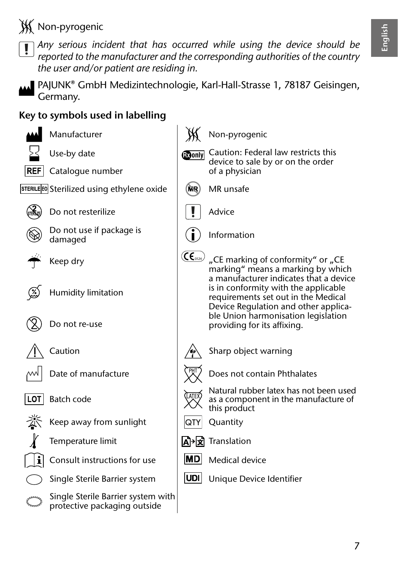**W** Non-pyrogenic



*Any serious incident that has occurred while using the device should be reported to the manufacturer and the corresponding authorities of the country the user and/or patient are residing in.*



PAJUNK® GmbH Medizintechnologie, Karl-Hall-Strasse 1, 78187 Geisingen, Germany.

#### **Key to symbols used in labelling**





 $REF$  Catalogue number





Do not resterilize Advice



Do not use if package is





Humidity limitation



Do not re-use







Batch code







Single Sterile Barrier system with protective packaging outside